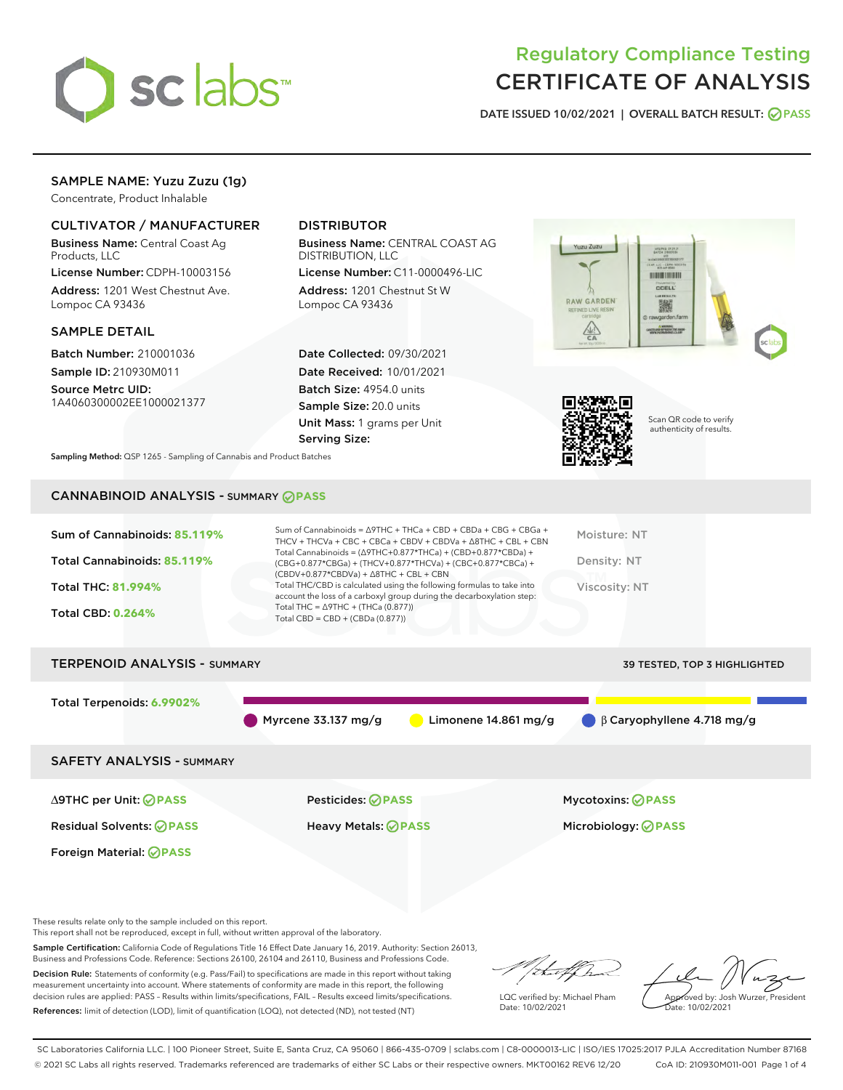

# Regulatory Compliance Testing CERTIFICATE OF ANALYSIS

DATE ISSUED 10/02/2021 | OVERALL BATCH RESULT: @ PASS

# SAMPLE NAME: Yuzu Zuzu (1g)

Concentrate, Product Inhalable

## CULTIVATOR / MANUFACTURER

Business Name: Central Coast Ag Products, LLC

License Number: CDPH-10003156 Address: 1201 West Chestnut Ave. Lompoc CA 93436

#### SAMPLE DETAIL

Batch Number: 210001036 Sample ID: 210930M011

Source Metrc UID: 1A4060300002EE1000021377

## DISTRIBUTOR

Business Name: CENTRAL COAST AG DISTRIBUTION, LLC

License Number: C11-0000496-LIC Address: 1201 Chestnut St W Lompoc CA 93436

Date Collected: 09/30/2021 Date Received: 10/01/2021 Batch Size: 4954.0 units Sample Size: 20.0 units Unit Mass: 1 grams per Unit Serving Size:





Scan QR code to verify authenticity of results.

Sampling Method: QSP 1265 - Sampling of Cannabis and Product Batches

# CANNABINOID ANALYSIS - SUMMARY **PASS**

| Sum of Cannabinoids: 85.119%<br>Total Cannabinoids: 85.119%<br><b>Total THC: 81.994%</b><br><b>Total CBD: 0.264%</b> | Sum of Cannabinoids = $\triangle$ 9THC + THCa + CBD + CBDa + CBG + CBGa +<br>THCV + THCVa + CBC + CBCa + CBDV + CBDVa + $\Delta$ 8THC + CBL + CBN<br>Total Cannabinoids = $(\Delta$ 9THC+0.877*THCa) + (CBD+0.877*CBDa) +<br>(CBG+0.877*CBGa) + (THCV+0.877*THCVa) + (CBC+0.877*CBCa) +<br>$(CBDV+0.877*CBDVa) + \Delta 8THC + CBL + CBN$<br>Total THC/CBD is calculated using the following formulas to take into<br>account the loss of a carboxyl group during the decarboxylation step:<br>Total THC = $\triangle$ 9THC + (THCa (0.877))<br>Total CBD = $CBD + (CBDa (0.877))$ | Moisture: NT<br>Density: NT<br><b>Viscosity: NT</b> |  |
|----------------------------------------------------------------------------------------------------------------------|------------------------------------------------------------------------------------------------------------------------------------------------------------------------------------------------------------------------------------------------------------------------------------------------------------------------------------------------------------------------------------------------------------------------------------------------------------------------------------------------------------------------------------------------------------------------------------|-----------------------------------------------------|--|
| <b>TERPENOID ANALYSIS - SUMMARY</b>                                                                                  |                                                                                                                                                                                                                                                                                                                                                                                                                                                                                                                                                                                    | 39 TESTED, TOP 3 HIGHLIGHTED                        |  |
| Total Terpenoids: 6.9902%                                                                                            |                                                                                                                                                                                                                                                                                                                                                                                                                                                                                                                                                                                    |                                                     |  |

Myrcene 33.137 mg/g Limonene 14.861 mg/g β Caryophyllene 4.718 mg/g

SAFETY ANALYSIS - SUMMARY

∆9THC per Unit: **PASS** Pesticides: **PASS** Mycotoxins: **PASS**

Foreign Material: **PASS**

Residual Solvents: **PASS** Heavy Metals: **PASS** Microbiology: **PASS**

These results relate only to the sample included on this report.

This report shall not be reproduced, except in full, without written approval of the laboratory.

Sample Certification: California Code of Regulations Title 16 Effect Date January 16, 2019. Authority: Section 26013, Business and Professions Code. Reference: Sections 26100, 26104 and 26110, Business and Professions Code.

Decision Rule: Statements of conformity (e.g. Pass/Fail) to specifications are made in this report without taking measurement uncertainty into account. Where statements of conformity are made in this report, the following decision rules are applied: PASS – Results within limits/specifications, FAIL – Results exceed limits/specifications. References: limit of detection (LOD), limit of quantification (LOQ), not detected (ND), not tested (NT)

that fCh

LQC verified by: Michael Pham Date: 10/02/2021

Approved by: Josh Wurzer, President ate: 10/02/2021

SC Laboratories California LLC. | 100 Pioneer Street, Suite E, Santa Cruz, CA 95060 | 866-435-0709 | sclabs.com | C8-0000013-LIC | ISO/IES 17025:2017 PJLA Accreditation Number 87168 © 2021 SC Labs all rights reserved. Trademarks referenced are trademarks of either SC Labs or their respective owners. MKT00162 REV6 12/20 CoA ID: 210930M011-001 Page 1 of 4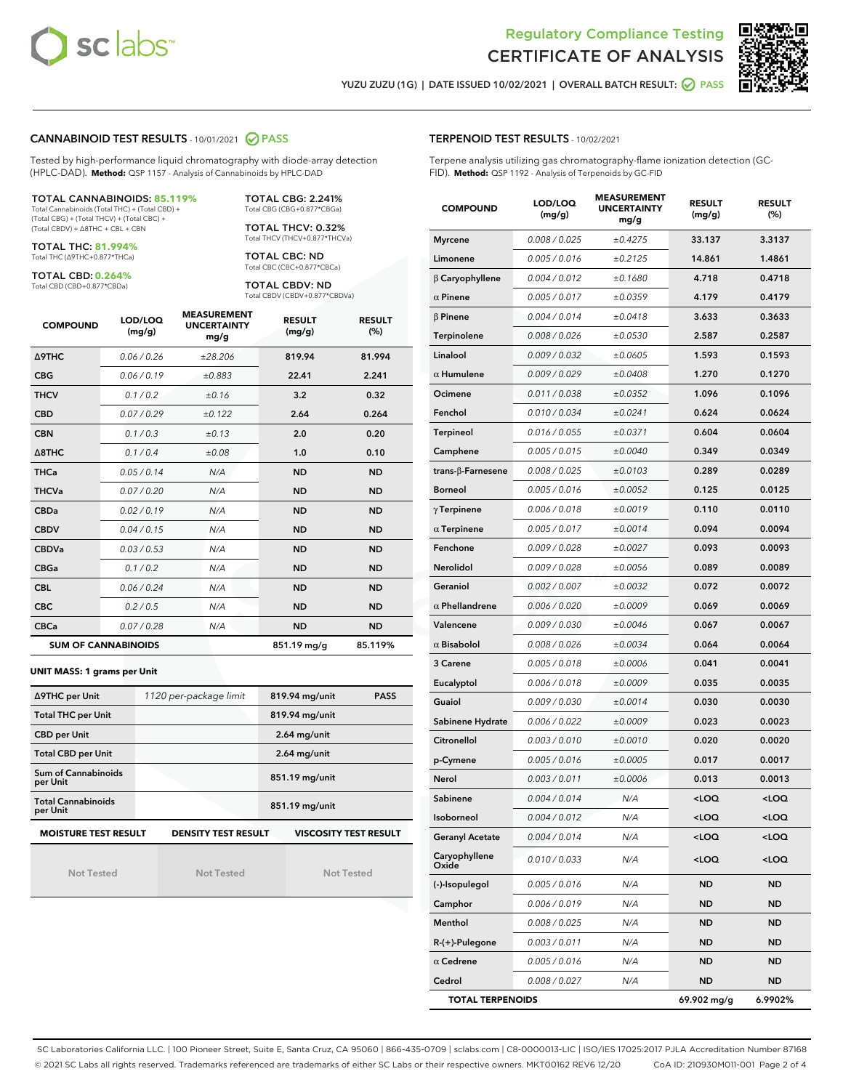



YUZU ZUZU (1G) | DATE ISSUED 10/02/2021 | OVERALL BATCH RESULT: ◯ PASS

#### CANNABINOID TEST RESULTS - 10/01/2021 2 PASS

Tested by high-performance liquid chromatography with diode-array detection (HPLC-DAD). **Method:** QSP 1157 - Analysis of Cannabinoids by HPLC-DAD

#### TOTAL CANNABINOIDS: **85.119%**

Total Cannabinoids (Total THC) + (Total CBD) + (Total CBG) + (Total THCV) + (Total CBC) + (Total CBDV) + ∆8THC + CBL + CBN

TOTAL THC: **81.994%** Total THC (∆9THC+0.877\*THCa)

TOTAL CBD: **0.264%**

Total CBD (CBD+0.877\*CBDa)

TOTAL CBG: 2.241% Total CBG (CBG+0.877\*CBGa)

TOTAL THCV: 0.32% Total THCV (THCV+0.877\*THCVa)

TOTAL CBC: ND Total CBC (CBC+0.877\*CBCa)

TOTAL CBDV: ND Total CBDV (CBDV+0.877\*CBDVa)

| <b>COMPOUND</b>  | LOD/LOQ<br>(mg/g)          | <b>MEASUREMENT</b><br><b>UNCERTAINTY</b><br>mg/g | <b>RESULT</b><br>(mg/g) | <b>RESULT</b><br>(%) |
|------------------|----------------------------|--------------------------------------------------|-------------------------|----------------------|
| <b>A9THC</b>     | 0.06 / 0.26                | ±28.206                                          | 819.94                  | 81.994               |
| <b>CBG</b>       | 0.06/0.19                  | ±0.883                                           | 22.41                   | 2.241                |
| <b>THCV</b>      | 0.1/0.2                    | ±0.16                                            | 3.2                     | 0.32                 |
| <b>CBD</b>       | 0.07/0.29                  | ±0.122                                           | 2.64                    | 0.264                |
| <b>CBN</b>       | 0.1 / 0.3                  | ±0.13                                            | 2.0                     | 0.20                 |
| $\triangle$ 8THC | 0.1/0.4                    | ±0.08                                            | 1.0                     | 0.10                 |
| THCa             | 0.05/0.14                  | N/A                                              | <b>ND</b>               | <b>ND</b>            |
| <b>THCVa</b>     | 0.07/0.20                  | N/A                                              | <b>ND</b>               | <b>ND</b>            |
| <b>CBDa</b>      | 0.02/0.19                  | N/A                                              | <b>ND</b>               | <b>ND</b>            |
| <b>CBDV</b>      | 0.04 / 0.15                | N/A                                              | <b>ND</b>               | <b>ND</b>            |
| <b>CBDVa</b>     | 0.03/0.53                  | N/A                                              | <b>ND</b>               | <b>ND</b>            |
| <b>CBGa</b>      | 0.1 / 0.2                  | N/A                                              | <b>ND</b>               | <b>ND</b>            |
| <b>CBL</b>       | 0.06 / 0.24                | N/A                                              | <b>ND</b>               | <b>ND</b>            |
| <b>CBC</b>       | 0.2 / 0.5                  | N/A                                              | <b>ND</b>               | <b>ND</b>            |
| <b>CBCa</b>      | 0.07/0.28                  | N/A                                              | <b>ND</b>               | <b>ND</b>            |
|                  | <b>SUM OF CANNABINOIDS</b> |                                                  | 851.19 mg/g             | 85.119%              |

#### **UNIT MASS: 1 grams per Unit**

| ∆9THC per Unit                        | 1120 per-package limit     | 819.94 mg/unit<br><b>PASS</b> |
|---------------------------------------|----------------------------|-------------------------------|
| <b>Total THC per Unit</b>             |                            | 819.94 mg/unit                |
| <b>CBD per Unit</b>                   |                            | $2.64$ mg/unit                |
| <b>Total CBD per Unit</b>             |                            | $2.64$ mg/unit                |
| Sum of Cannabinoids<br>per Unit       |                            | 851.19 mg/unit                |
| <b>Total Cannabinoids</b><br>per Unit |                            | 851.19 mg/unit                |
| <b>MOISTURE TEST RESULT</b>           | <b>DENSITY TEST RESULT</b> | <b>VISCOSITY TEST RESULT</b>  |

Not Tested

Not Tested

Not Tested

#### TERPENOID TEST RESULTS - 10/02/2021

Terpene analysis utilizing gas chromatography-flame ionization detection (GC-FID). **Method:** QSP 1192 - Analysis of Terpenoids by GC-FID

| <b>COMPOUND</b>         | LOD/LOQ<br>(mg/g) | <b>MEASUREMENT</b><br><b>UNCERTAINTY</b><br>mg/g | <b>RESULT</b><br>(mg/g)                         | <b>RESULT</b><br>(%) |
|-------------------------|-------------------|--------------------------------------------------|-------------------------------------------------|----------------------|
| <b>Myrcene</b>          | 0.008 / 0.025     | ±0.4275                                          | 33.137                                          | 3.3137               |
| Limonene                | 0.005 / 0.016     | ±0.2125                                          | 14.861                                          | 1.4861               |
| $\beta$ Caryophyllene   | 0.004 / 0.012     | ±0.1680                                          | 4.718                                           | 0.4718               |
| $\alpha$ Pinene         | 0.005 / 0.017     | ±0.0359                                          | 4.179                                           | 0.4179               |
| $\beta$ Pinene          | 0.004 / 0.014     | ±0.0418                                          | 3.633                                           | 0.3633               |
| Terpinolene             | 0.008 / 0.026     | ±0.0530                                          | 2.587                                           | 0.2587               |
| Linalool                | 0.009 / 0.032     | ±0.0605                                          | 1.593                                           | 0.1593               |
| $\alpha$ Humulene       | 0.009/0.029       | ±0.0408                                          | 1.270                                           | 0.1270               |
| Ocimene                 | 0.011 / 0.038     | ±0.0352                                          | 1.096                                           | 0.1096               |
| Fenchol                 | 0.010 / 0.034     | ±0.0241                                          | 0.624                                           | 0.0624               |
| <b>Terpineol</b>        | 0.016 / 0.055     | ±0.0371                                          | 0.604                                           | 0.0604               |
| Camphene                | 0.005 / 0.015     | ±0.0040                                          | 0.349                                           | 0.0349               |
| trans-β-Farnesene       | 0.008 / 0.025     | ±0.0103                                          | 0.289                                           | 0.0289               |
| <b>Borneol</b>          | 0.005 / 0.016     | ±0.0052                                          | 0.125                                           | 0.0125               |
| $\gamma$ Terpinene      | 0.006 / 0.018     | ±0.0019                                          | 0.110                                           | 0.0110               |
| $\alpha$ Terpinene      | 0.005 / 0.017     | ±0.0014                                          | 0.094                                           | 0.0094               |
| Fenchone                | 0.009/0.028       | ±0.0027                                          | 0.093                                           | 0.0093               |
| Nerolidol               | 0.009 / 0.028     | ±0.0056                                          | 0.089                                           | 0.0089               |
| Geraniol                | 0.002 / 0.007     | ±0.0032                                          | 0.072                                           | 0.0072               |
| $\alpha$ Phellandrene   | 0.006 / 0.020     | ±0.0009                                          | 0.069                                           | 0.0069               |
| Valencene               | 0.009 / 0.030     | ±0.0046                                          | 0.067                                           | 0.0067               |
| $\alpha$ Bisabolol      | 0.008 / 0.026     | ±0.0034                                          | 0.064                                           | 0.0064               |
| 3 Carene                | 0.005 / 0.018     | ±0.0006                                          | 0.041                                           | 0.0041               |
| Eucalyptol              | 0.006 / 0.018     | ±0.0009                                          | 0.035                                           | 0.0035               |
| Guaiol                  | 0.009 / 0.030     | ±0.0014                                          | 0.030                                           | 0.0030               |
| Sabinene Hydrate        | 0.006 / 0.022     | ±0.0009                                          | 0.023                                           | 0.0023               |
| Citronellol             | 0.003 / 0.010     | ±0.0010                                          | 0.020                                           | 0.0020               |
| p-Cymene                | 0.005 / 0.016     | ±0.0005                                          | 0.017                                           | 0.0017               |
| Nerol                   | 0.003 / 0.011     | ±0.0006                                          | 0.013                                           | 0.0013               |
| Sabinene                | 0.004 / 0.014     | N/A                                              | <loq< th=""><th><loq< th=""></loq<></th></loq<> | <loq< th=""></loq<>  |
| Isoborneol              | 0.004 / 0.012     | N/A                                              | <loq< th=""><th><loq< th=""></loq<></th></loq<> | <loq< th=""></loq<>  |
| <b>Geranyl Acetate</b>  | 0.004 / 0.014     | N/A                                              | <loq< th=""><th><loq< th=""></loq<></th></loq<> | <loq< th=""></loq<>  |
| Caryophyllene<br>Oxide  | 0.010 / 0.033     | N/A                                              | <loq< th=""><th><loq< th=""></loq<></th></loq<> | <loq< th=""></loq<>  |
| (-)-Isopulegol          | 0.005 / 0.016     | N/A                                              | ND                                              | ND                   |
| Camphor                 | 0.006 / 0.019     | N/A                                              | ND                                              | ND                   |
| Menthol                 | 0.008 / 0.025     | N/A                                              | ND                                              | ND                   |
| R-(+)-Pulegone          | 0.003 / 0.011     | N/A                                              | ND                                              | ND                   |
| $\alpha$ Cedrene        | 0.005 / 0.016     | N/A                                              | ND                                              | ND                   |
| Cedrol                  | 0.008 / 0.027     | N/A                                              | ND                                              | ND                   |
| <b>TOTAL TERPENOIDS</b> |                   | 69.902 mg/g                                      | 6.9902%                                         |                      |

SC Laboratories California LLC. | 100 Pioneer Street, Suite E, Santa Cruz, CA 95060 | 866-435-0709 | sclabs.com | C8-0000013-LIC | ISO/IES 17025:2017 PJLA Accreditation Number 87168 © 2021 SC Labs all rights reserved. Trademarks referenced are trademarks of either SC Labs or their respective owners. MKT00162 REV6 12/20 CoA ID: 210930M011-001 Page 2 of 4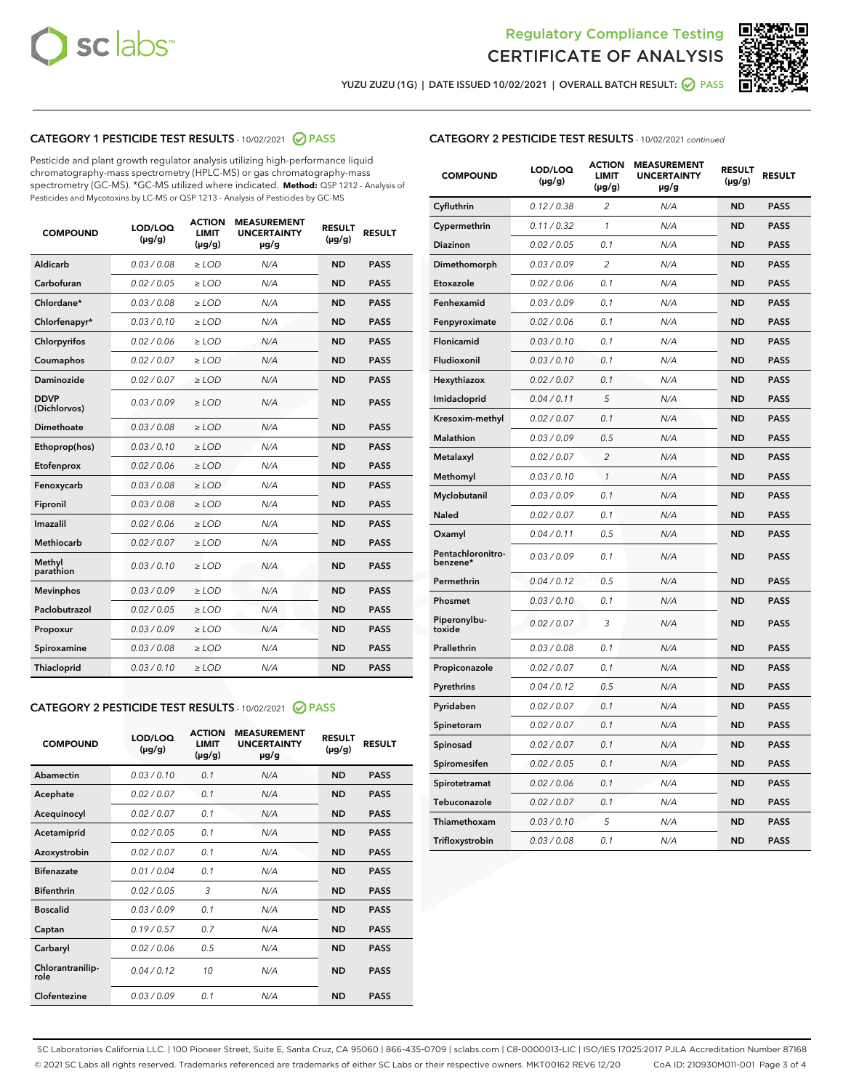



YUZU ZUZU (1G) | DATE ISSUED 10/02/2021 | OVERALL BATCH RESULT: O PASS

# CATEGORY 1 PESTICIDE TEST RESULTS - 10/02/2021 2 PASS

Pesticide and plant growth regulator analysis utilizing high-performance liquid chromatography-mass spectrometry (HPLC-MS) or gas chromatography-mass spectrometry (GC-MS). \*GC-MS utilized where indicated. **Method:** QSP 1212 - Analysis of Pesticides and Mycotoxins by LC-MS or QSP 1213 - Analysis of Pesticides by GC-MS

| <b>COMPOUND</b>             | LOD/LOQ<br>$(\mu g/g)$ | <b>ACTION</b><br>LIMIT<br>$(\mu q/q)$ | <b>MEASUREMENT</b><br><b>UNCERTAINTY</b><br>$\mu$ g/g | <b>RESULT</b><br>$(\mu g/g)$ | <b>RESULT</b> |
|-----------------------------|------------------------|---------------------------------------|-------------------------------------------------------|------------------------------|---------------|
| Aldicarb                    | 0.03 / 0.08            | $\ge$ LOD                             | N/A                                                   | <b>ND</b>                    | <b>PASS</b>   |
| Carbofuran                  | 0.02 / 0.05            | $\ge$ LOD                             | N/A                                                   | <b>ND</b>                    | <b>PASS</b>   |
| Chlordane*                  | 0.03 / 0.08            | $\ge$ LOD                             | N/A                                                   | <b>ND</b>                    | <b>PASS</b>   |
| Chlorfenapyr*               | 0.03/0.10              | $\ge$ LOD                             | N/A                                                   | <b>ND</b>                    | <b>PASS</b>   |
| Chlorpyrifos                | 0.02 / 0.06            | $\ge$ LOD                             | N/A                                                   | <b>ND</b>                    | <b>PASS</b>   |
| Coumaphos                   | 0.02 / 0.07            | $\ge$ LOD                             | N/A                                                   | <b>ND</b>                    | <b>PASS</b>   |
| Daminozide                  | 0.02 / 0.07            | $\ge$ LOD                             | N/A                                                   | <b>ND</b>                    | <b>PASS</b>   |
| <b>DDVP</b><br>(Dichlorvos) | 0.03/0.09              | $\ge$ LOD                             | N/A                                                   | <b>ND</b>                    | <b>PASS</b>   |
| Dimethoate                  | 0.03/0.08              | $\ge$ LOD                             | N/A                                                   | <b>ND</b>                    | <b>PASS</b>   |
| Ethoprop(hos)               | 0.03/0.10              | $\ge$ LOD                             | N/A                                                   | <b>ND</b>                    | <b>PASS</b>   |
| Etofenprox                  | 0.02 / 0.06            | $\ge$ LOD                             | N/A                                                   | <b>ND</b>                    | <b>PASS</b>   |
| Fenoxycarb                  | 0.03/0.08              | $\ge$ LOD                             | N/A                                                   | <b>ND</b>                    | <b>PASS</b>   |
| Fipronil                    | 0.03/0.08              | $\ge$ LOD                             | N/A                                                   | <b>ND</b>                    | <b>PASS</b>   |
| Imazalil                    | 0.02 / 0.06            | $\ge$ LOD                             | N/A                                                   | <b>ND</b>                    | <b>PASS</b>   |
| Methiocarb                  | 0.02 / 0.07            | $\ge$ LOD                             | N/A                                                   | <b>ND</b>                    | <b>PASS</b>   |
| Methyl<br>parathion         | 0.03/0.10              | $\ge$ LOD                             | N/A                                                   | <b>ND</b>                    | <b>PASS</b>   |
| <b>Mevinphos</b>            | 0.03/0.09              | $\ge$ LOD                             | N/A                                                   | <b>ND</b>                    | <b>PASS</b>   |
| Paclobutrazol               | 0.02 / 0.05            | $\ge$ LOD                             | N/A                                                   | <b>ND</b>                    | <b>PASS</b>   |
| Propoxur                    | 0.03/0.09              | $\ge$ LOD                             | N/A                                                   | <b>ND</b>                    | <b>PASS</b>   |
| Spiroxamine                 | 0.03/0.08              | $\ge$ LOD                             | N/A                                                   | <b>ND</b>                    | <b>PASS</b>   |
| Thiacloprid                 | 0.03/0.10              | $\ge$ LOD                             | N/A                                                   | <b>ND</b>                    | <b>PASS</b>   |
|                             |                        |                                       |                                                       |                              |               |

## CATEGORY 2 PESTICIDE TEST RESULTS - 10/02/2021 @ PASS

| <b>COMPOUND</b>          | LOD/LOO<br>$(\mu g/g)$ | <b>ACTION</b><br>LIMIT<br>$(\mu g/g)$ | <b>MEASUREMENT</b><br><b>UNCERTAINTY</b><br>$\mu$ g/g | <b>RESULT</b><br>$(\mu g/g)$ | <b>RESULT</b> |  |
|--------------------------|------------------------|---------------------------------------|-------------------------------------------------------|------------------------------|---------------|--|
| Abamectin                | 0.03/0.10              | 0.1                                   | N/A                                                   | <b>ND</b>                    | <b>PASS</b>   |  |
| Acephate                 | 0.02/0.07              | 0.1                                   | N/A                                                   | <b>ND</b>                    | <b>PASS</b>   |  |
| Acequinocyl              | 0.02/0.07              | 0.1                                   | N/A                                                   | <b>ND</b>                    | <b>PASS</b>   |  |
| Acetamiprid              | 0.02/0.05              | 0.1                                   | N/A                                                   | <b>ND</b>                    | <b>PASS</b>   |  |
| Azoxystrobin             | 0.02/0.07              | 0.1                                   | N/A                                                   | <b>ND</b>                    | <b>PASS</b>   |  |
| <b>Bifenazate</b>        | 0.01/0.04              | 0.1                                   | N/A                                                   | <b>ND</b>                    | <b>PASS</b>   |  |
| <b>Bifenthrin</b>        | 0.02/0.05              | 3                                     | N/A                                                   | <b>ND</b>                    | <b>PASS</b>   |  |
| <b>Boscalid</b>          | 0.03/0.09              | 0.1                                   | N/A                                                   | <b>ND</b>                    | <b>PASS</b>   |  |
| Captan                   | 0.19/0.57              | 0.7                                   | N/A                                                   | <b>ND</b>                    | <b>PASS</b>   |  |
| Carbaryl                 | 0.02/0.06              | 0.5                                   | N/A                                                   | <b>ND</b>                    | <b>PASS</b>   |  |
| Chlorantranilip-<br>role | 0.04/0.12              | 10                                    | N/A                                                   | <b>ND</b>                    | <b>PASS</b>   |  |
| Clofentezine             | 0.03/0.09              | 0.1                                   | N/A                                                   | <b>ND</b>                    | <b>PASS</b>   |  |

| <b>COMPOUND</b>               | LOD/LOQ<br>(µg/g) | <b>ACTION</b><br><b>LIMIT</b><br>(µg/g) | <b>MEASUREMENT</b><br><b>UNCERTAINTY</b><br>µg/g | <b>RESULT</b><br>(µg/g) | <b>RESULT</b> |
|-------------------------------|-------------------|-----------------------------------------|--------------------------------------------------|-------------------------|---------------|
| Cyfluthrin                    | 0.12 / 0.38       | $\overline{c}$                          | N/A                                              | <b>ND</b>               | <b>PASS</b>   |
| Cypermethrin                  | 0.11 / 0.32       | 1                                       | N/A                                              | <b>ND</b>               | <b>PASS</b>   |
| <b>Diazinon</b>               | 0.02 / 0.05       | 0.1                                     | N/A                                              | <b>ND</b>               | <b>PASS</b>   |
| Dimethomorph                  | 0.03 / 0.09       | 2                                       | N/A                                              | <b>ND</b>               | <b>PASS</b>   |
| Etoxazole                     | 0.02 / 0.06       | 0.1                                     | N/A                                              | <b>ND</b>               | <b>PASS</b>   |
| Fenhexamid                    | 0.03 / 0.09       | 0.1                                     | N/A                                              | <b>ND</b>               | <b>PASS</b>   |
| Fenpyroximate                 | 0.02 / 0.06       | 0.1                                     | N/A                                              | <b>ND</b>               | <b>PASS</b>   |
| Flonicamid                    | 0.03 / 0.10       | 0.1                                     | N/A                                              | <b>ND</b>               | <b>PASS</b>   |
| Fludioxonil                   | 0.03 / 0.10       | 0.1                                     | N/A                                              | <b>ND</b>               | <b>PASS</b>   |
| Hexythiazox                   | 0.02 / 0.07       | 0.1                                     | N/A                                              | <b>ND</b>               | <b>PASS</b>   |
| Imidacloprid                  | 0.04 / 0.11       | 5                                       | N/A                                              | <b>ND</b>               | <b>PASS</b>   |
| Kresoxim-methyl               | 0.02 / 0.07       | 0.1                                     | N/A                                              | <b>ND</b>               | <b>PASS</b>   |
| <b>Malathion</b>              | 0.03 / 0.09       | 0.5                                     | N/A                                              | <b>ND</b>               | <b>PASS</b>   |
| Metalaxyl                     | 0.02 / 0.07       | $\overline{2}$                          | N/A                                              | <b>ND</b>               | <b>PASS</b>   |
| Methomyl                      | 0.03 / 0.10       | 1                                       | N/A                                              | <b>ND</b>               | <b>PASS</b>   |
| Myclobutanil                  | 0.03 / 0.09       | 0.1                                     | N/A                                              | <b>ND</b>               | <b>PASS</b>   |
| Naled                         | 0.02 / 0.07       | 0.1                                     | N/A                                              | <b>ND</b>               | <b>PASS</b>   |
| Oxamyl                        | 0.04 / 0.11       | 0.5                                     | N/A                                              | <b>ND</b>               | <b>PASS</b>   |
| Pentachloronitro-<br>benzene* | 0.03 / 0.09       | 0.1                                     | N/A                                              | <b>ND</b>               | <b>PASS</b>   |
| Permethrin                    | 0.04 / 0.12       | 0.5                                     | N/A                                              | <b>ND</b>               | <b>PASS</b>   |
| Phosmet                       | 0.03 / 0.10       | 0.1                                     | N/A                                              | <b>ND</b>               | <b>PASS</b>   |
| Piperonylbu-<br>toxide        | 0.02 / 0.07       | 3                                       | N/A                                              | <b>ND</b>               | <b>PASS</b>   |
| Prallethrin                   | 0.03 / 0.08       | 0.1                                     | N/A                                              | <b>ND</b>               | <b>PASS</b>   |
| Propiconazole                 | 0.02 / 0.07       | 0.1                                     | N/A                                              | <b>ND</b>               | <b>PASS</b>   |
| Pyrethrins                    | 0.04 / 0.12       | 0.5                                     | N/A                                              | <b>ND</b>               | <b>PASS</b>   |
| Pyridaben                     | 0.02 / 0.07       | 0.1                                     | N/A                                              | <b>ND</b>               | <b>PASS</b>   |
| Spinetoram                    | 0.02 / 0.07       | 0.1                                     | N/A                                              | <b>ND</b>               | <b>PASS</b>   |
| Spinosad                      | 0.02 / 0.07       | 0.1                                     | N/A                                              | <b>ND</b>               | <b>PASS</b>   |
| Spiromesifen                  | 0.02 / 0.05       | 0.1                                     | N/A                                              | <b>ND</b>               | <b>PASS</b>   |
| Spirotetramat                 | 0.02 / 0.06       | 0.1                                     | N/A                                              | <b>ND</b>               | <b>PASS</b>   |
| Tebuconazole                  | 0.02 / 0.07       | 0.1                                     | N/A                                              | ND                      | <b>PASS</b>   |
| Thiamethoxam                  | 0.03 / 0.10       | 5                                       | N/A                                              | <b>ND</b>               | <b>PASS</b>   |
| Trifloxystrobin               | 0.03 / 0.08       | 0.1                                     | N/A                                              | <b>ND</b>               | <b>PASS</b>   |

SC Laboratories California LLC. | 100 Pioneer Street, Suite E, Santa Cruz, CA 95060 | 866-435-0709 | sclabs.com | C8-0000013-LIC | ISO/IES 17025:2017 PJLA Accreditation Number 87168 © 2021 SC Labs all rights reserved. Trademarks referenced are trademarks of either SC Labs or their respective owners. MKT00162 REV6 12/20 CoA ID: 210930M011-001 Page 3 of 4